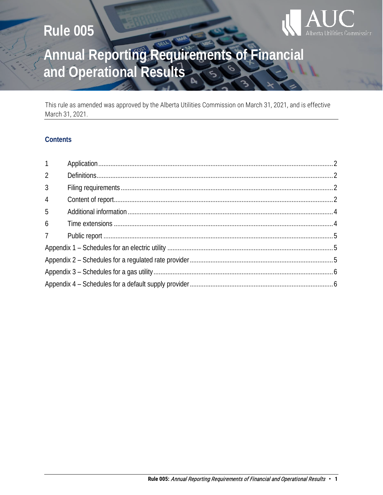# **Rule 005**



# Annual Reporting Requirements of Financial<br>and Operational Results

This rule as amended was approved by the Alberta Utilities Commission on March 31, 2021, and is effective March 31, 2021.

### **Contents**

| 1              |  |  |
|----------------|--|--|
| $\mathfrak{D}$ |  |  |
| $\mathfrak{Z}$ |  |  |
| $\overline{4}$ |  |  |
| 5              |  |  |
| 6              |  |  |
| 7 <sup>7</sup> |  |  |
|                |  |  |
|                |  |  |
|                |  |  |
|                |  |  |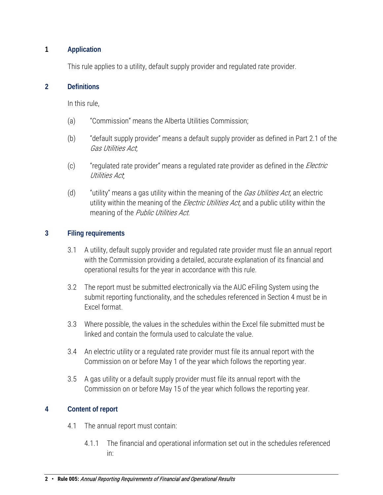### <span id="page-1-0"></span>**1 Application**

This rule applies to a utility, default supply provider and regulated rate provider.

#### <span id="page-1-1"></span>**2 Definitions**

In this rule,

- (a) "Commission" means the Alberta Utilities Commission;
- (b) "default supply provider" means a default supply provider as defined in Part 2.1 of the Gas Utilities Act;
- (c) "regulated rate provider" means a regulated rate provider as defined in the *Electric* Utilities Act;
- (d)  $"$ utility" means a gas utility within the meaning of the *Gas Utilities Act*, an electric utility within the meaning of the *Electric Utilities Act*, and a public utility within the meaning of the Public Utilities Act.

#### <span id="page-1-2"></span>**3 Filing requirements**

- 3.1 A utility, default supply provider and regulated rate provider must file an annual report with the Commission providing a detailed, accurate explanation of its financial and operational results for the year in accordance with this rule.
- 3.2 The report must be submitted electronically via the AUC eFiling System using the submit reporting functionality, and the schedules referenced in Section 4 must be in Excel format.
- 3.3 Where possible, the values in the schedules within the Excel file submitted must be linked and contain the formula used to calculate the value.
- 3.4 An electric utility or a regulated rate provider must file its annual report with the Commission on or before May 1 of the year which follows the reporting year.
- 3.5 A gas utility or a default supply provider must file its annual report with the Commission on or before May 15 of the year which follows the reporting year.

### <span id="page-1-3"></span>**4 Content of report**

- 4.1 The annual report must contain:
	- 4.1.1 The financial and operational information set out in the schedules referenced in: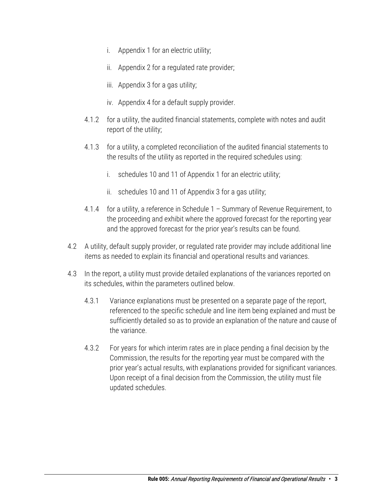- i. Appendix 1 for an electric utility;
- ii. Appendix 2 for a regulated rate provider;
- iii. Appendix 3 for a gas utility;
- iv. Appendix 4 for a default supply provider.
- 4.1.2 for a utility, the audited financial statements, complete with notes and audit report of the utility;
- 4.1.3 for a utility, a completed reconciliation of the audited financial statements to the results of the utility as reported in the required schedules using:
	- i. schedules 10 and 11 of Appendix 1 for an electric utility;
	- ii. schedules 10 and 11 of Appendix 3 for a gas utility;
- 4.1.4 for a utility, a reference in Schedule 1 Summary of Revenue Requirement, to the proceeding and exhibit where the approved forecast for the reporting year and the approved forecast for the prior year's results can be found.
- 4.2 A utility, default supply provider, or regulated rate provider may include additional line items as needed to explain its financial and operational results and variances.
- 4.3 In the report, a utility must provide detailed explanations of the variances reported on its schedules, within the parameters outlined below.
	- 4.3.1 Variance explanations must be presented on a separate page of the report, referenced to the specific schedule and line item being explained and must be sufficiently detailed so as to provide an explanation of the nature and cause of the variance.
	- 4.3.2 For years for which interim rates are in place pending a final decision by the Commission, the results for the reporting year must be compared with the prior year's actual results, with explanations provided for significant variances. Upon receipt of a final decision from the Commission, the utility must file updated schedules.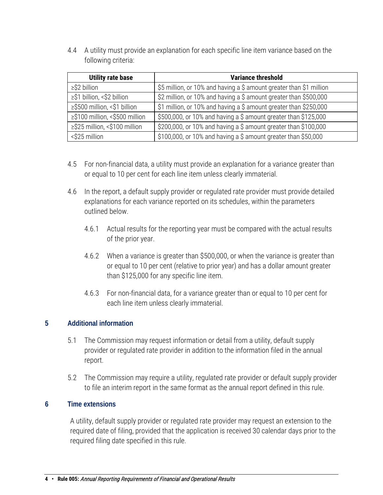4.4 A utility must provide an explanation for each specific line item variance based on the following criteria:

| <b>Utility rate base</b>       | <b>Variance threshold</b>                                           |
|--------------------------------|---------------------------------------------------------------------|
| $\geq$ \$2 billion             | \$5 million, or 10% and having a \$ amount greater than \$1 million |
| ≥\$1 billion, <\$2 billion     | \$2 million, or 10% and having a \$ amount greater than \$500,000   |
| ≥\$500 million, <\$1 billion   | \$1 million, or 10% and having a \$ amount greater than \$250,000   |
| ≥\$100 million, <\$500 million | \$500,000, or 10% and having a \$ amount greater than \$125,000     |
| ≥\$25 million, <\$100 million  | \$200,000, or 10% and having a \$ amount greater than \$100,000     |
| <\$25 million                  | \$100,000, or 10% and having a \$ amount greater than \$50,000      |

- 4.5 For non-financial data, a utility must provide an explanation for a variance greater than or equal to 10 per cent for each line item unless clearly immaterial.
- 4.6 In the report, a default supply provider or regulated rate provider must provide detailed explanations for each variance reported on its schedules, within the parameters outlined below.
	- 4.6.1 Actual results for the reporting year must be compared with the actual results of the prior year.
	- 4.6.2 When a variance is greater than \$500,000, or when the variance is greater than or equal to 10 per cent (relative to prior year) and has a dollar amount greater than \$125,000 for any specific line item.
	- 4.6.3 For non-financial data, for a variance greater than or equal to 10 per cent for each line item unless clearly immaterial.

### <span id="page-3-0"></span>**5 Additional information**

- 5.1 The Commission may request information or detail from a utility, default supply provider or regulated rate provider in addition to the information filed in the annual report.
- 5.2 The Commission may require a utility, regulated rate provider or default supply provider to file an interim report in the same format as the annual report defined in this rule.

#### <span id="page-3-1"></span>**6 Time extensions**

A utility, default supply provider or regulated rate provider may request an extension to the required date of filing, provided that the application is received 30 calendar days prior to the required filing date specified in this rule.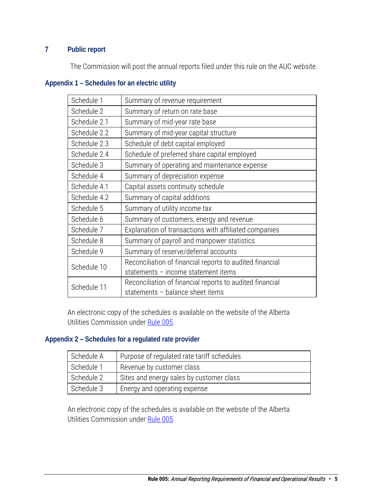# <span id="page-4-0"></span>**7 Public report**

The Commission will post the annual reports filed under this rule on the AUC website.

### <span id="page-4-1"></span>**Appendix 1 – Schedules for an electric utility**

| Schedule 1   | Summary of revenue requirement                           |
|--------------|----------------------------------------------------------|
| Schedule 2   | Summary of return on rate base                           |
| Schedule 2.1 | Summary of mid-year rate base                            |
| Schedule 2.2 | Summary of mid-year capital structure                    |
| Schedule 2.3 | Schedule of debt capital employed                        |
| Schedule 2.4 | Schedule of preferred share capital employed             |
| Schedule 3   | Summary of operating and maintenance expense             |
| Schedule 4   | Summary of depreciation expense                          |
| Schedule 4.1 | Capital assets continuity schedule                       |
| Schedule 4.2 | Summary of capital additions                             |
| Schedule 5   | Summary of utility income tax                            |
| Schedule 6   | Summary of customers, energy and revenue                 |
| Schedule 7   | Explanation of transactions with affiliated companies    |
| Schedule 8   | Summary of payroll and manpower statistics               |
| Schedule 9   | Summary of reserve/deferral accounts                     |
| Schedule 10  | Reconciliation of financial reports to audited financial |
|              | statements - income statement items                      |
| Schedule 11  | Reconciliation of financial reports to audited financial |
|              | statements - balance sheet items                         |

An electronic copy of the schedules is available on the website of the Alberta Utilities Commission under [Rule 005.](http://www.auc.ab.ca/Pages/rules/Rule005.aspx)

#### <span id="page-4-2"></span>**Appendix 2 – Schedules for a regulated rate provider**

| Schedule A | Purpose of regulated rate tariff schedules |
|------------|--------------------------------------------|
| Schedule 1 | Revenue by customer class                  |
| Schedule 2 | Sites and energy sales by customer class   |
| Schedule 3 | Energy and operating expense               |

An electronic copy of the schedules is available on the website of the Alberta Utilities Commission under [Rule 005.](http://www.auc.ab.ca/Pages/rules/Rule005.aspx)